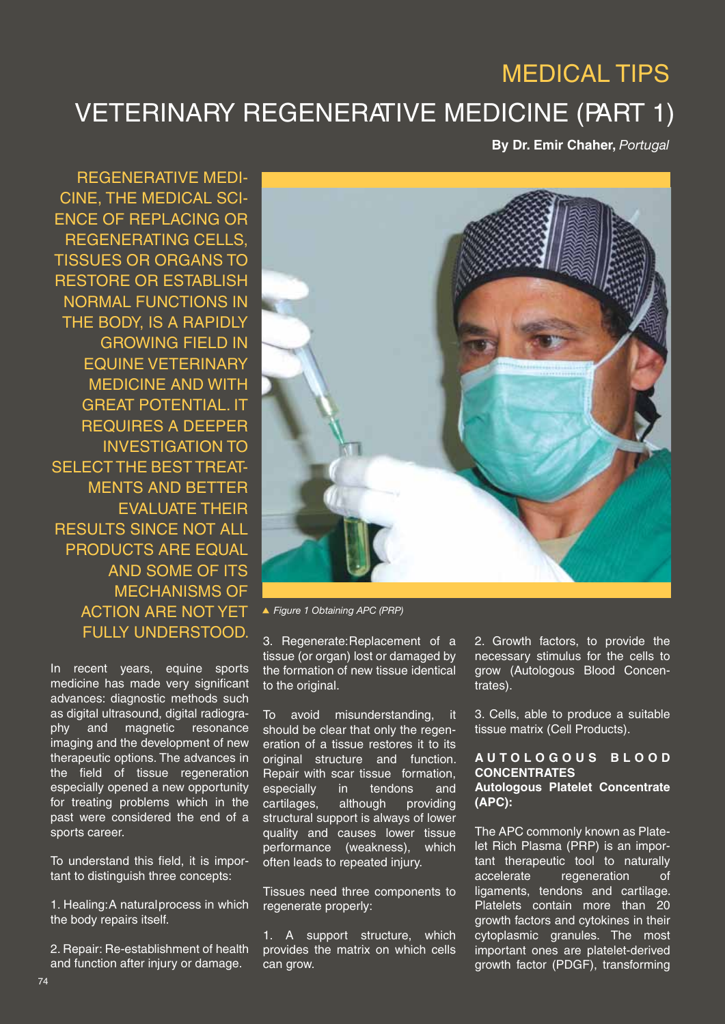# VETERINARY REGENERATIVE MEDICINE (PART 1) MEDICAL TIPS

**By Dr. Emir Chaher,** *Portugal*

REGENERATIVE MEDI-CINE, THE MEDICAL SCI-ENCE OF REPLACING OR REGENERATING CELLS, TISSUES OR ORGANS TO RESTORE OR ESTABLISH NORMAL FUNCTIONS IN THE BODY, IS A RAPIDLY GROWING FIELD IN EQUINE VETERINARY MEDICINE AND WITH GREAT POTENTIAL. IT REQUIRES A DEEPER INVESTIGATION TO SELECT THE BEST TREAT-MENTS AND BETTER EVALUATE THEIR RESULTS SINCE NOT ALL PRODUCTS ARE EQUAL AND SOME OF ITS MECHANISMS OF ACTION ARE NOT YET FULLY UNDERSTOOD.

In recent years, equine sports medicine has made very significant advances: diagnostic methods such as digital ultrasound, digital radiography and magnetic resonance imaging and the development of new therapeutic options. The advances in the field of tissue regeneration especially opened a new opportunity for treating problems which in the past were considered the end of a sports career.

To understand this field, it is important to distinguish three concepts:

1. Healing: A natural process in which the body repairs itself.

2. Repair: Re-establishment of health and function after injury or damage.



*Figure 1 Obtaining APC (PRP)*

3. Regenerate: Replacement of a tissue (or organ) lost or damaged by the formation of new tissue identical to the original.

To avoid misunderstanding, it should be clear that only the regeneration of a tissue restores it to its original structure and function. Repair with scar tissue formation, especially in tendons and cartilages, although providing structural support is always of lower quality and causes lower tissue performance (weakness), which often leads to repeated injury.

Tissues need three components to regenerate properly:

1. A support structure, which provides the matrix on which cells can grow.

2. Growth factors, to provide the necessary stimulus for the cells to grow (Autologous Blood Concentrates).

3. Cells, able to produce a suitable tissue matrix (Cell Products).

#### **A U T O L O G O U S B L O O D CONCENTRATES Autologous Platelet Concentrate (APC):**

The APC commonly known as Platelet Rich Plasma (PRP) is an important therapeutic tool to naturally accelerate regeneration of ligaments, tendons and cartilage. Platelets contain more than 20 growth factors and cytokines in their cytoplasmic granules. The most important ones are platelet-derived growth factor (PDGF), transforming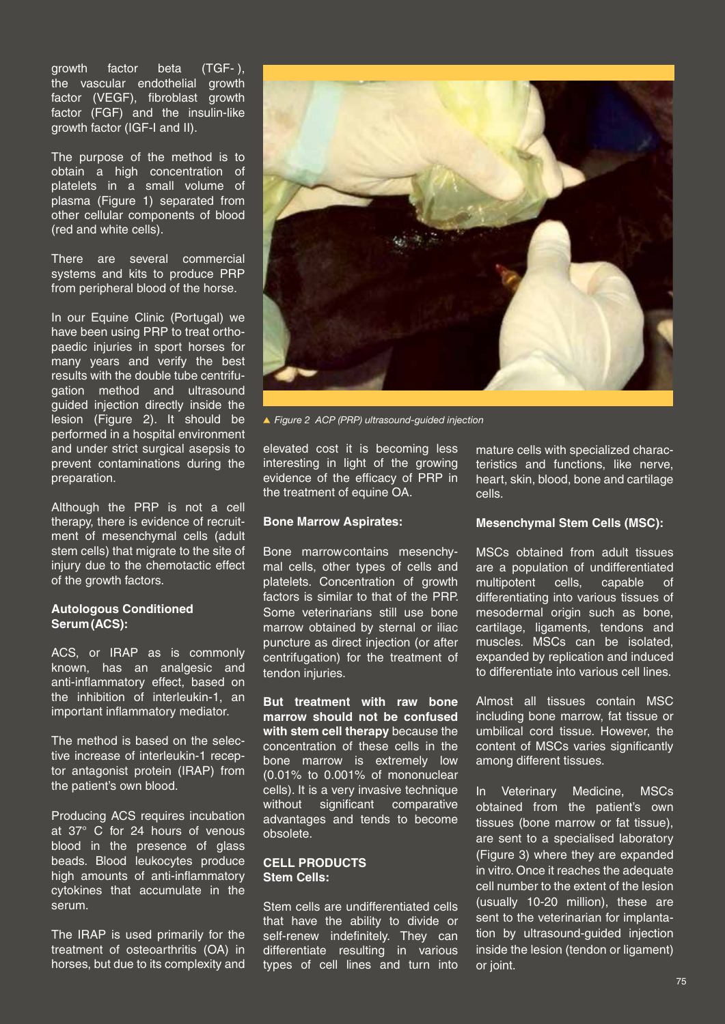growth factor beta (TGF- ), the vascular endothelial growth factor (VEGF), fibroblast growth factor (FGF) and the insulin-like growth factor (IGF-I and II).

The purpose of the method is to obtain a high concentration of platelets in a small volume of plasma (Figure 1) separated from other cellular components of blood (red and white cells).

There are several commercial systems and kits to produce PRP from peripheral blood of the horse.

In our Equine Clinic (Portugal) we have been using PRP to treat orthopaedic injuries in sport horses for many years and verify the best results with the double tube centrifugation method and ultrasound guided injection directly inside the lesion (Figure 2). It should be performed in a hospital environment and under strict surgical asepsis to prevent contaminations during the preparation.

Although the PRP is not a cell therapy, there is evidence of recruitment of mesenchymal cells (adult stem cells) that migrate to the site of injury due to the chemotactic effect of the growth factors.

## **Autologous Conditioned Serum (ACS):**

ACS, or IRAP as is commonly known, has an analgesic and anti-inflammatory effect, based on the inhibition of interleukin-1, an important inflammatory mediator.

The method is based on the selective increase of interleukin-1 receptor antagonist protein (IRAP) from the patient's own blood.

Producing ACS requires incubation at 37° C for 24 hours of venous blood in the presence of glass beads. Blood leukocytes produce high amounts of anti-inflammatory cytokines that accumulate in the serum.

The IRAP is used primarily for the treatment of osteoarthritis (OA) in horses, but due to its complexity and



*Figure 2 ACP (PRP) ultrasound-guided injection* 

elevated cost it is becoming less interesting in light of the growing evidence of the efficacy of PRP in the treatment of equine OA.

#### **Bone Marrow Aspirates:**

Bone marrow contains mesenchymal cells, other types of cells and platelets. Concentration of growth factors is similar to that of the PRP. Some veterinarians still use bone marrow obtained by sternal or iliac puncture as direct injection (or after centrifugation) for the treatment of tendon injuries.

**But treatment with raw bone marrow should not be confused with stem cell therapy** because the concentration of these cells in the bone marrow is extremely low (0.01% to 0.001% of mononuclear cells). It is a very invasive technique without significant comparative advantages and tends to become obsolete.

#### **CELL PRODUCTS Stem Cells:**

Stem cells are undifferentiated cells that have the ability to divide or self-renew indefinitely. They can differentiate resulting in various types of cell lines and turn into

mature cells with specialized characteristics and functions, like nerve, heart, skin, blood, bone and cartilage cells.

#### **Mesenchymal Stem Cells (MSC):**

MSCs obtained from adult tissues are a population of undifferentiated multipotent cells, capable of differentiating into various tissues of mesodermal origin such as bone, cartilage, ligaments, tendons and muscles. MSCs can be isolated, expanded by replication and induced to differentiate into various cell lines.

Almost all tissues contain MSC including bone marrow, fat tissue or umbilical cord tissue. However, the content of MSCs varies significantly among different tissues.

In Veterinary Medicine, MSCs obtained from the patient's own tissues (bone marrow or fat tissue), are sent to a specialised laboratory (Figure 3) where they are expanded in vitro. Once it reaches the adequate cell number to the extent of the lesion (usually 10-20 million), these are sent to the veterinarian for implantation by ultrasound-guided injection inside the lesion (tendon or ligament) or joint.